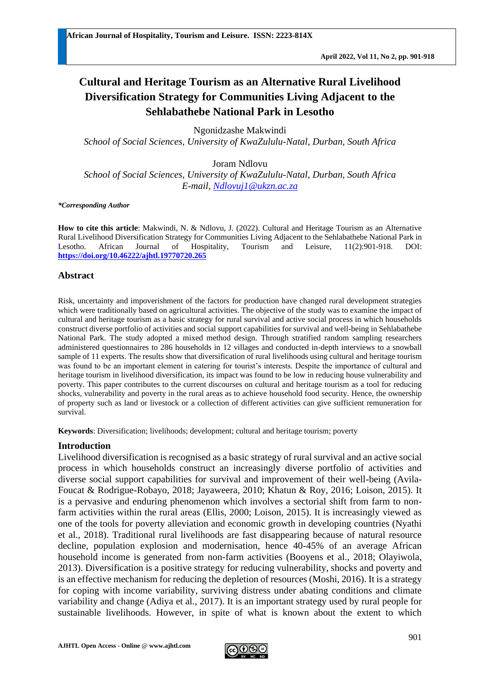# **Cultural and Heritage Tourism as an Alternative Rural Livelihood Diversification Strategy for Communities Living Adjacent to the Sehlabathebe National Park in Lesotho**

Ngonidzashe Makwindi

*School of Social Sciences, University of KwaZululu-Natal, Durban, South Africa*

Joram Ndlovu

*School of Social Sciences, University of KwaZululu-Natal, Durban, South Africa E-mail, [Ndlovuj1@ukzn.ac.za](mailto:Ndlovuj1@ukzn.ac.za)* 

*\*Corresponding Author*

**How to cite this article**: Makwindi, N. & Ndlovu, J. (2022). Cultural and Heritage Tourism as an Alternative Rural Livelihood Diversification Strategy for Communities Living Adjacent to the Sehlabathebe National Park in Lesotho. African Journal of Hospitality, Tourism and Leisure, 11(2):901-918. DOI: **<https://doi.org/10.46222/ajhtl.19770720.265>**

### **Abstract**

Risk, uncertainty and impoverishment of the factors for production have changed rural development strategies which were traditionally based on agricultural activities. The objective of the study was to examine the impact of cultural and heritage tourism as a basic strategy for rural survival and active social process in which households construct diverse portfolio of activities and social support capabilities for survival and well-being in Sehlabathebe National Park. The study adopted a mixed method design. Through stratified random sampling researchers administered questionnaires to 286 households in 12 villages and conducted in-depth interviews to a snowball sample of 11 experts. The results show that diversification of rural livelihoods using cultural and heritage tourism was found to be an important element in catering for tourist's interests. Despite the importance of cultural and heritage tourism in livelihood diversification, its impact was found to be low in reducing house vulnerability and poverty. This paper contributes to the current discourses on cultural and heritage tourism as a tool for reducing shocks, vulnerability and poverty in the rural areas as to achieve household food security. Hence, the ownership of property such as land or livestock or a collection of different activities can give sufficient remuneration for survival.

**Keywords**: Diversification; livelihoods; development; cultural and heritage tourism; poverty

## **Introduction**

Livelihood diversification is recognised as a basic strategy of rural survival and an active social process in which households construct an increasingly diverse portfolio of activities and diverse social support capabilities for survival and improvement of their well-being (Avila-Foucat & Rodrigue-Robayo, 2018; Jayaweera, 2010; Khatun & Roy, 2016; Loison, 2015). It is a pervasive and enduring phenomenon which involves a sectorial shift from farm to nonfarm activities within the rural areas (Ellis, 2000; Loison, 2015). It is increasingly viewed as one of the tools for poverty alleviation and economic growth in developing countries (Nyathi et al., 2018). Traditional rural livelihoods are fast disappearing because of natural resource decline, population explosion and modernisation, hence 40-45% of an average African household income is generated from non-farm activities (Booyens et al., 2018; Olayiwola, 2013). Diversification is a positive strategy for reducing vulnerability, shocks and poverty and is an effective mechanism for reducing the depletion of resources (Moshi, 2016). It is a strategy for coping with income variability, surviving distress under abating conditions and climate variability and change (Adiya et al., 2017). It is an important strategy used by rural people for sustainable livelihoods. However, in spite of what is known about the extent to which

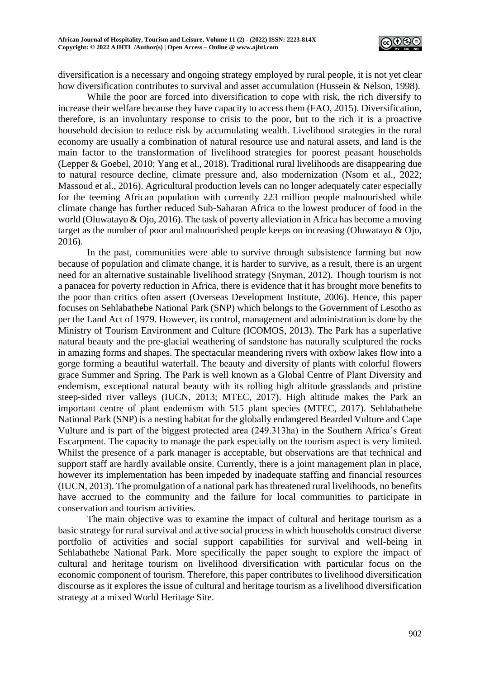

diversification is a necessary and ongoing strategy employed by rural people, it is not yet clear how diversification contributes to survival and asset accumulation (Hussein & Nelson, 1998).

While the poor are forced into diversification to cope with risk, the rich diversify to increase their welfare because they have capacity to access them (FAO, 2015). Diversification, therefore, is an involuntary response to crisis to the poor, but to the rich it is a proactive household decision to reduce risk by accumulating wealth. Livelihood strategies in the rural economy are usually a combination of natural resource use and natural assets, and land is the main factor to the transformation of livelihood strategies for poorest peasant households (Lepper & Goebel, 2010; Yang et al., 2018). Traditional rural livelihoods are disappearing due to natural resource decline, climate pressure and, also modernization (Nsom et al., 2022; Massoud et al., 2016). Agricultural production levels can no longer adequately cater especially for the teeming African population with currently 223 million people malnourished while climate change has further reduced Sub-Saharan Africa to the lowest producer of food in the world (Oluwatayo & Ojo, 2016). The task of poverty alleviation in Africa has become a moving target as the number of poor and malnourished people keeps on increasing (Oluwatayo & Ojo, 2016).

In the past, communities were able to survive through subsistence farming but now because of population and climate change, it is harder to survive, as a result, there is an urgent need for an alternative sustainable livelihood strategy (Snyman, 2012). Though tourism is not a panacea for poverty reduction in Africa, there is evidence that it has brought more benefits to the poor than critics often assert (Overseas Development Institute, 2006). Hence, this paper focuses on Sehlabathebe National Park (SNP) which belongs to the Government of Lesotho as per the Land Act of 1979. However, its control, management and administration is done by the Ministry of Tourism Environment and Culture (ICOMOS, 2013). The Park has a superlative natural beauty and the pre-glacial weathering of sandstone has naturally sculptured the rocks in amazing forms and shapes. The spectacular meandering rivers with oxbow lakes flow into a gorge forming a beautiful waterfall. The beauty and diversity of plants with colorful flowers grace Summer and Spring. The Park is well known as a Global Centre of Plant Diversity and endemism, exceptional natural beauty with its rolling high altitude grasslands and pristine steep-sided river valleys (IUCN, 2013; MTEC, 2017). High altitude makes the Park an important centre of plant endemism with 515 plant species (MTEC, 2017). Sehlabathebe National Park (SNP) is a nesting habitat for the globally endangered Bearded Vulture and Cape Vulture and is part of the biggest protected area (249.313ha) in the Southern Africa's Great Escarpment. The capacity to manage the park especially on the tourism aspect is very limited. Whilst the presence of a park manager is acceptable, but observations are that technical and support staff are hardly available onsite. Currently, there is a joint management plan in place, however its implementation has been impeded by inadequate staffing and financial resources (IUCN, 2013). The promulgation of a national park has threatened rural livelihoods, no benefits have accrued to the community and the failure for local communities to participate in conservation and tourism activities.

The main objective was to examine the impact of cultural and heritage tourism as a basic strategy for rural survival and active social process in which households construct diverse portfolio of activities and social support capabilities for survival and well-being in Sehlabathebe National Park. More specifically the paper sought to explore the impact of cultural and heritage tourism on livelihood diversification with particular focus on the economic component of tourism. Therefore, this paper contributes to livelihood diversification discourse as it explores the issue of cultural and heritage tourism as a livelihood diversification strategy at a mixed World Heritage Site.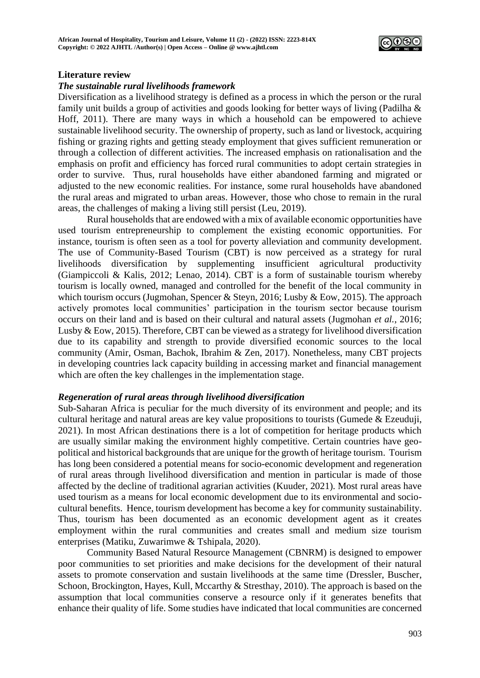

#### **Literature review**

#### *The sustainable rural livelihoods framework*

Diversification as a livelihood strategy is defined as a process in which the person or the rural family unit builds a group of activities and goods looking for better ways of living (Padilha & Hoff, 2011). There are many ways in which a household can be empowered to achieve sustainable livelihood security. The ownership of property, such as land or livestock, acquiring fishing or grazing rights and getting steady employment that gives sufficient remuneration or through a collection of different activities. The increased emphasis on rationalisation and the emphasis on profit and efficiency has forced rural communities to adopt certain strategies in order to survive. Thus, rural households have either abandoned farming and migrated or adjusted to the new economic realities. For instance, some rural households have abandoned the rural areas and migrated to urban areas. However, those who chose to remain in the rural areas, the challenges of making a living still persist (Leu, 2019).

Rural households that are endowed with a mix of available economic opportunities have used tourism entrepreneurship to complement the existing economic opportunities. For instance, tourism is often seen as a tool for poverty alleviation and community development. The use of Community-Based Tourism (CBT) is now perceived as a strategy for rural livelihoods diversification by supplementing insufficient agricultural productivity (Giampiccoli & Kalis, 2012; Lenao, 2014). CBT is a form of sustainable tourism whereby tourism is locally owned, managed and controlled for the benefit of the local community in which tourism occurs (Jugmohan, Spencer & Steyn, 2016; Lusby & Eow, 2015). The approach actively promotes local communities' participation in the tourism sector because tourism occurs on their land and is based on their cultural and natural assets (Jugmohan *et al.*, 2016; Lusby & Eow, 2015). Therefore, CBT can be viewed as a strategy for livelihood diversification due to its capability and strength to provide diversified economic sources to the local community (Amir, Osman, Bachok, Ibrahim & Zen, 2017). Nonetheless, many CBT projects in developing countries lack capacity building in accessing market and financial management which are often the key challenges in the implementation stage.

#### *Regeneration of rural areas through livelihood diversification*

Sub-Saharan Africa is peculiar for the much diversity of its environment and people; and its cultural heritage and natural areas are key value propositions to tourists (Gumede & Ezeuduji, 2021). In most African destinations there is a lot of competition for heritage products which are usually similar making the environment highly competitive. Certain countries have geopolitical and historical backgrounds that are unique for the growth of heritage tourism. Tourism has long been considered a potential means for socio-economic development and regeneration of rural areas through livelihood diversification and mention in particular is made of those affected by the decline of traditional agrarian activities (Kuuder, 2021). Most rural areas have used tourism as a means for local economic development due to its environmental and sociocultural benefits. Hence, tourism development has become a key for community sustainability. Thus, tourism has been documented as an economic development agent as it creates employment within the rural communities and creates small and medium size tourism enterprises (Matiku, Zuwarimwe & Tshipala, 2020).

Community Based Natural Resource Management (CBNRM) is designed to empower poor communities to set priorities and make decisions for the development of their natural assets to promote conservation and sustain livelihoods at the same time (Dressler, Buscher, Schoon, Brockington, Hayes, Kull, Mccarthy & Stresthay, 2010). The approach is based on the assumption that local communities conserve a resource only if it generates benefits that enhance their quality of life. Some studies have indicated that local communities are concerned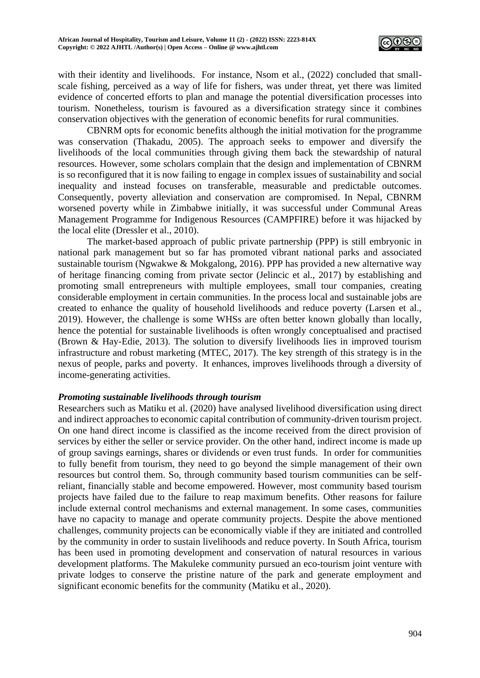

with their identity and livelihoods. For instance, Nsom et al., (2022) concluded that smallscale fishing, perceived as a way of life for fishers, was under threat, yet there was limited evidence of concerted efforts to plan and manage the potential diversification processes into tourism. Nonetheless, tourism is favoured as a diversification strategy since it combines conservation objectives with the generation of economic benefits for rural communities.

CBNRM opts for economic benefits although the initial motivation for the programme was conservation (Thakadu, 2005). The approach seeks to empower and diversify the livelihoods of the local communities through giving them back the stewardship of natural resources. However, some scholars complain that the design and implementation of CBNRM is so reconfigured that it is now failing to engage in complex issues of sustainability and social inequality and instead focuses on transferable, measurable and predictable outcomes. Consequently, poverty alleviation and conservation are compromised. In Nepal, CBNRM worsened poverty while in Zimbabwe initially, it was successful under Communal Areas Management Programme for Indigenous Resources (CAMPFIRE) before it was hijacked by the local elite (Dressler et al., 2010).

The market-based approach of public private partnership (PPP) is still embryonic in national park management but so far has promoted vibrant national parks and associated sustainable tourism (Ngwakwe & Mokgalong, 2016). PPP has provided a new alternative way of heritage financing coming from private sector (Jelincic et al., 2017) by establishing and promoting small entrepreneurs with multiple employees, small tour companies, creating considerable employment in certain communities. In the process local and sustainable jobs are created to enhance the quality of household livelihoods and reduce poverty (Larsen et al., 2019). However, the challenge is some WHSs are often better known globally than locally, hence the potential for sustainable livelihoods is often wrongly conceptualised and practised (Brown & Hay-Edie, 2013). The solution to diversify livelihoods lies in improved tourism infrastructure and robust marketing (MTEC, 2017). The key strength of this strategy is in the nexus of people, parks and poverty. It enhances, improves livelihoods through a diversity of income-generating activities.

#### *Promoting sustainable livelihoods through tourism*

Researchers such as Matiku et al. (2020) have analysed livelihood diversification using direct and indirect approaches to economic capital contribution of community-driven tourism project. On one hand direct income is classified as the income received from the direct provision of services by either the seller or service provider. On the other hand, indirect income is made up of group savings earnings, shares or dividends or even trust funds. In order for communities to fully benefit from tourism, they need to go beyond the simple management of their own resources but control them. So, through community based tourism communities can be selfreliant, financially stable and become empowered. However, most community based tourism projects have failed due to the failure to reap maximum benefits. Other reasons for failure include external control mechanisms and external management. In some cases, communities have no capacity to manage and operate community projects. Despite the above mentioned challenges, community projects can be economically viable if they are initiated and controlled by the community in order to sustain livelihoods and reduce poverty. In South Africa, tourism has been used in promoting development and conservation of natural resources in various development platforms. The Makuleke community pursued an eco-tourism joint venture with private lodges to conserve the pristine nature of the park and generate employment and significant economic benefits for the community (Matiku et al., 2020).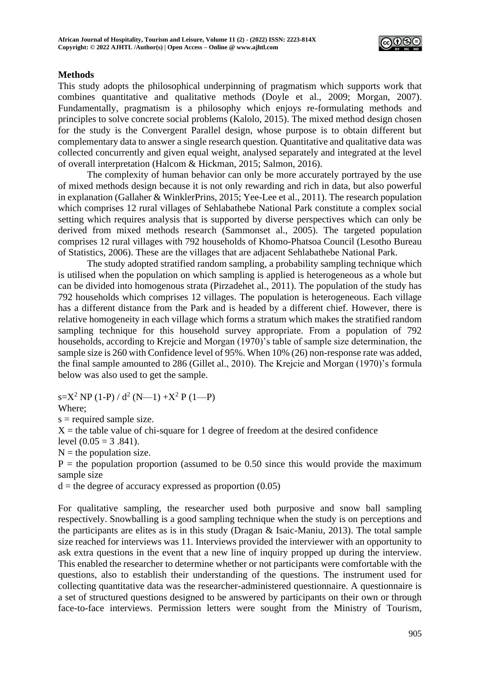

### **Methods**

This study adopts the philosophical underpinning of pragmatism which supports work that combines quantitative and qualitative methods (Doyle et al., 2009; Morgan, 2007). Fundamentally, pragmatism is a philosophy which enjoys re-formulating methods and principles to solve concrete social problems (Kalolo, 2015). The mixed method design chosen for the study is the Convergent Parallel design, whose purpose is to obtain different but complementary data to answer a single research question. Quantitative and qualitative data was collected concurrently and given equal weight, analysed separately and integrated at the level of overall interpretation (Halcom & Hickman, 2015; Salmon, 2016).

The complexity of human behavior can only be more accurately portrayed by the use of mixed methods design because it is not only rewarding and rich in data, but also powerful in explanation (Gallaher & WinklerPrins, 2015; Yee-Lee et al., 2011). The research population which comprises 12 rural villages of Sehlabathebe National Park constitute a complex social setting which requires analysis that is supported by diverse perspectives which can only be derived from mixed methods research (Sammonset al., 2005). The targeted population comprises 12 rural villages with 792 households of Khomo-Phatsoa Council (Lesotho Bureau of Statistics, 2006). These are the villages that are adjacent Sehlabathebe National Park.

The study adopted stratified random sampling, a probability sampling technique which is utilised when the population on which sampling is applied is heterogeneous as a whole but can be divided into homogenous strata (Pirzadehet al., 2011). The population of the study has 792 households which comprises 12 villages. The population is heterogeneous. Each village has a different distance from the Park and is headed by a different chief. However, there is relative homogeneity in each village which forms a stratum which makes the stratified random sampling technique for this household survey appropriate. From a population of 792 households, according to Krejcie and Morgan (1970)'s table of sample size determination, the sample size is 260 with Confidence level of 95%. When 10% (26) non-response rate was added, the final sample amounted to 286 (Gillet al., 2010). The Krejcie and Morgan (1970)'s formula below was also used to get the sample.

s=X<sup>2</sup> NP (1-P) /  $d^2$  (N—1) +X<sup>2</sup> P (1—P) Where;

 $s =$  required sample size.

 $X =$  the table value of chi-square for 1 degree of freedom at the desired confidence

level  $(0.05 = 3.841)$ .

 $N =$  the population size.

 $P =$  the population proportion (assumed to be 0.50 since this would provide the maximum sample size

 $d =$  the degree of accuracy expressed as proportion  $(0.05)$ 

For qualitative sampling, the researcher used both purposive and snow ball sampling respectively. Snowballing is a good sampling technique when the study is on perceptions and the participants are elites as is in this study (Dragan & Isaic-Maniu, 2013). The total sample size reached for interviews was 11. Interviews provided the interviewer with an opportunity to ask extra questions in the event that a new line of inquiry propped up during the interview. This enabled the researcher to determine whether or not participants were comfortable with the questions, also to establish their understanding of the questions. The instrument used for collecting quantitative data was the researcher-administered questionnaire. A questionnaire is a set of structured questions designed to be answered by participants on their own or through face-to-face interviews. Permission letters were sought from the Ministry of Tourism,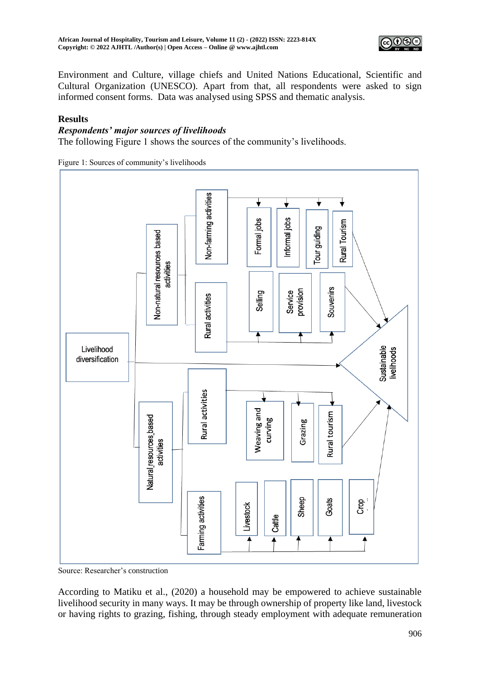

Environment and Culture, village chiefs and United Nations Educational, Scientific and Cultural Organization (UNESCO). Apart from that, all respondents were asked to sign informed consent forms. Data was analysed using SPSS and thematic analysis.

# **Results**

#### *Respondents' major sources of livelihoods*

The following Figure 1 shows the sources of the community's livelihoods.

Figure 1: Sources of community's livelihoods



Source: Researcher's construction

According to Matiku et al., (2020) a household may be empowered to achieve sustainable livelihood security in many ways. It may be through ownership of property like land, livestock or having rights to grazing, fishing, through steady employment with adequate remuneration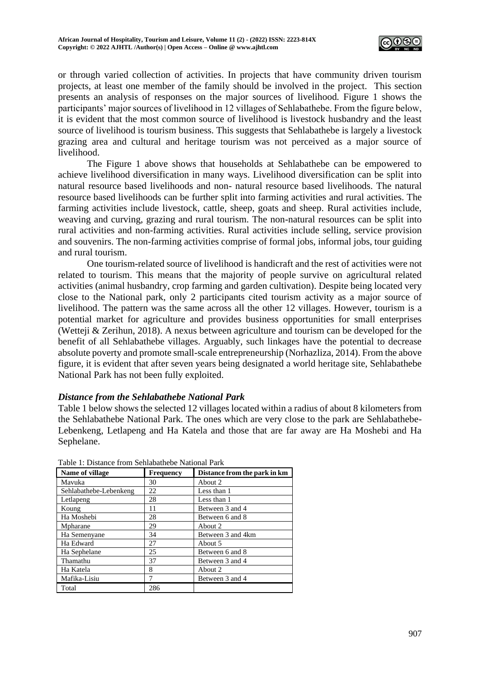

or through varied collection of activities. In projects that have community driven tourism projects, at least one member of the family should be involved in the project. This section presents an analysis of responses on the major sources of livelihood*.* Figure 1 shows the participants' major sources of livelihood in 12 villages of Sehlabathebe. From the figure below, it is evident that the most common source of livelihood is livestock husbandry and the least source of livelihood is tourism business. This suggests that Sehlabathebe is largely a livestock grazing area and cultural and heritage tourism was not perceived as a major source of livelihood.

The Figure 1 above shows that households at Sehlabathebe can be empowered to achieve livelihood diversification in many ways. Livelihood diversification can be split into natural resource based livelihoods and non- natural resource based livelihoods. The natural resource based livelihoods can be further split into farming activities and rural activities. The farming activities include livestock, cattle, sheep, goats and sheep. Rural activities include, weaving and curving, grazing and rural tourism. The non-natural resources can be split into rural activities and non-farming activities. Rural activities include selling, service provision and souvenirs. The non-farming activities comprise of formal jobs, informal jobs, tour guiding and rural tourism.

One tourism-related source of livelihood is handicraft and the rest of activities were not related to tourism. This means that the majority of people survive on agricultural related activities (animal husbandry, crop farming and garden cultivation). Despite being located very close to the National park, only 2 participants cited tourism activity as a major source of livelihood. The pattern was the same across all the other 12 villages. However, tourism is a potential market for agriculture and provides business opportunities for small enterprises (Wetteji & Zerihun, 2018). A nexus between agriculture and tourism can be developed for the benefit of all Sehlabathebe villages. Arguably, such linkages have the potential to decrease absolute poverty and promote small-scale entrepreneurship (Norhazliza, 2014). From the above figure, it is evident that after seven years being designated a world heritage site, Sehlabathebe National Park has not been fully exploited.

## *Distance from the Sehlabathebe National Park*

Table 1 below shows the selected 12 villages located within a radius of about 8 kilometers from the Sehlabathebe National Park. The ones which are very close to the park are Sehlabathebe-Lebenkeng, Letlapeng and Ha Katela and those that are far away are Ha Moshebi and Ha Sephelane.

| Name of village        | <b>Frequency</b> | Distance from the park in km |
|------------------------|------------------|------------------------------|
| Mavuka                 | 30               | About 2                      |
| Sehlabathebe-Lebenkeng | 22               | Less than 1                  |
| Letlapeng              | 28               | Less than 1                  |
| Koung                  | 11               | Between 3 and 4              |
| Ha Moshebi             | 28               | Between 6 and 8              |
| Mpharane               | 29               | About 2                      |
| Ha Semenyane           | 34               | Between 3 and 4km            |
| Ha Edward              | 27               | About 5                      |
| Ha Sephelane           | 25               | Between 6 and 8              |
| Thamathu               | 37               | Between 3 and 4              |
| Ha Katela              | 8                | About 2                      |
| Mafika-Lisiu           | 7                | Between 3 and 4              |
| Total                  | 286              |                              |

Table 1: Distance from Sehlabathebe National Park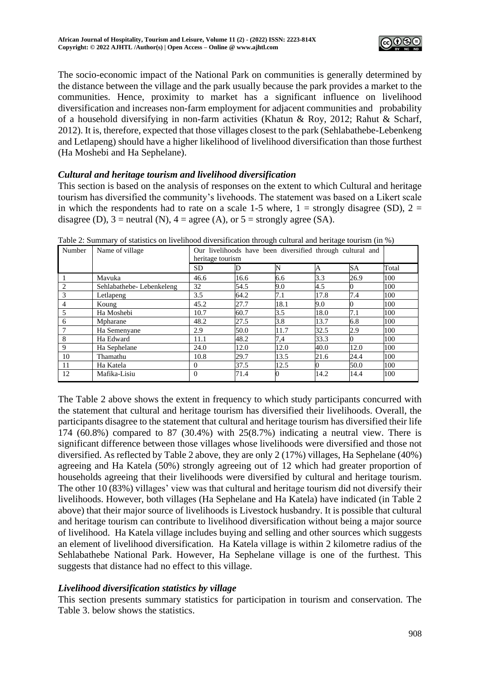

The socio-economic impact of the National Park on communities is generally determined by the distance between the village and the park usually because the park provides a market to the communities. Hence, proximity to market has a significant influence on livelihood diversification and increases non-farm employment for adjacent communities and probability of a household diversifying in non-farm activities (Khatun & Roy, 2012; Rahut & Scharf, 2012). It is, therefore, expected that those villages closest to the park (Sehlabathebe-Lebenkeng and Letlapeng) should have a higher likelihood of livelihood diversification than those furthest (Ha Moshebi and Ha Sephelane).

# *Cultural and heritage tourism and livelihood diversification*

This section is based on the analysis of responses on the extent to which Cultural and heritage tourism has diversified the community's livehoods. The statement was based on a Likert scale in which the respondents had to rate on a scale 1-5 where,  $1 =$  strongly disagree (SD),  $2 =$ disagree (D),  $3$  = neutral (N),  $4$  = agree (A), or  $5$  = strongly agree (SA).

| Number         | Name of village          | Our livelihoods have been diversified through cultural and<br>heritage tourism |      |      |          |      |       |
|----------------|--------------------------|--------------------------------------------------------------------------------|------|------|----------|------|-------|
|                |                          | <b>SD</b>                                                                      |      | N    | A        | SA   | Total |
|                | Mavuka                   | 46.6                                                                           | 16.6 | 6.6  | 3.3      | 26.9 | 100   |
| $\mathfrak{D}$ | Sehlabathebe-Lebenkeleng | 32                                                                             | 54.5 | 9.0  | 4.5      |      | 100   |
| 3              | Letlapeng                | 3.5                                                                            | 64.2 | 7.1  | 17.8     | 7.4  | 100   |
| 4              | Koung                    | 45.2                                                                           | 27.7 | 18.1 | 9.0      |      | 100   |
| 5              | Ha Moshebi               | 10.7                                                                           | 60.7 | 3.5  | 18.0     | 7.1  | 100   |
| 6              | Mpharane                 | 48.2                                                                           | 27.5 | 3.8  | 13.7     | 6.8  | 100   |
|                | Ha Semenyane             | 2.9                                                                            | 50.0 | 11.7 | 32.5     | 2.9  | 100   |
| 8              | Ha Edward                | 11.1                                                                           | 48.2 | 7,4  | 33.3     |      | 100   |
| 9              | Ha Sephelane             | 24.0                                                                           | 12.0 | 12.0 | 40.0     | 12.0 | 100   |
| 10             | Thamathu                 | 10.8                                                                           | 29.7 | 13.5 | 21.6     | 24.4 | 100   |
| 11             | Ha Katela                | $\Omega$                                                                       | 37.5 | 12.5 | $\Omega$ | 50.0 | 100   |
| 12             | Mafika-Lisiu             | $\Omega$                                                                       | 71.4 |      | 14.2     | 14.4 | 100   |

Table 2: Summary of statistics on livelihood diversification through cultural and heritage tourism (in %)

The Table 2 above shows the extent in frequency to which study participants concurred with the statement that cultural and heritage tourism has diversified their livelihoods. Overall, the participants disagree to the statement that cultural and heritage tourism has diversified their life 174 (60.8%) compared to 87 (30.4%) with 25(8.7%) indicating a neutral view. There is significant difference between those villages whose livelihoods were diversified and those not diversified. As reflected by Table 2 above, they are only 2 (17%) villages, Ha Sephelane (40%) agreeing and Ha Katela (50%) strongly agreeing out of 12 which had greater proportion of households agreeing that their livelihoods were diversified by cultural and heritage tourism. The other 10 (83%) villages' view was that cultural and heritage tourism did not diversify their livelihoods. However, both villages (Ha Sephelane and Ha Katela) have indicated (in Table 2 above) that their major source of livelihoods is Livestock husbandry. It is possible that cultural and heritage tourism can contribute to livelihood diversification without being a major source of livelihood. Ha Katela village includes buying and selling and other sources which suggests an element of livelihood diversification. Ha Katela village is within 2 kilometre radius of the Sehlabathebe National Park. However, Ha Sephelane village is one of the furthest. This suggests that distance had no effect to this village.

## *Livelihood diversification statistics by village*

This section presents summary statistics for participation in tourism and conservation. The Table 3. below shows the statistics.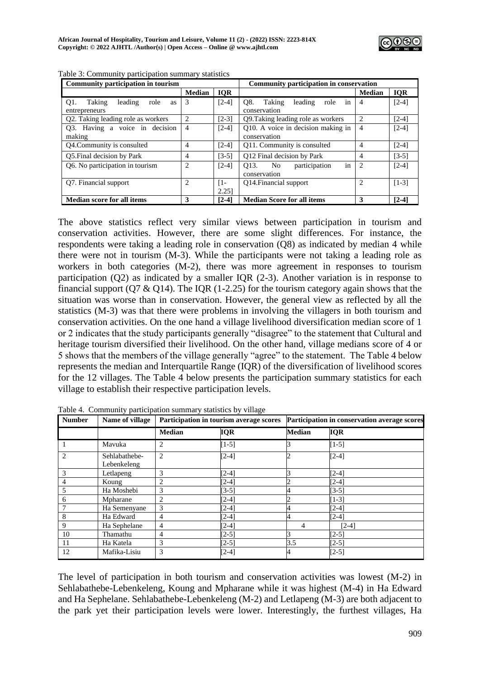| Community participation in tourism                  |                |              | Community participation in conservation         |                |            |  |
|-----------------------------------------------------|----------------|--------------|-------------------------------------------------|----------------|------------|--|
|                                                     | <b>Median</b>  | <b>IQR</b>   |                                                 | <b>Median</b>  | <b>IQR</b> |  |
| O <sub>1</sub> .<br>Taking<br>leading<br>role<br>as | 3              | $[2-4]$      | O8.<br>Taking<br>leading<br>role<br>1n          | 4              | $[2-4]$    |  |
| entrepreneurs                                       |                |              | conservation                                    |                |            |  |
| Q2. Taking leading role as workers                  | 2              | $[2-3]$      | Q9. Taking leading role as workers              | 2              | $[2-4]$    |  |
| Q3. Having a voice in decision                      | 4              | $[2-4]$      | Q10. A voice in decision making in              | 4              | $[2-4]$    |  |
| making                                              |                |              | conservation                                    |                |            |  |
| Q4.Community is consulted                           | 4              | $[2-4]$      | Q11. Community is consulted                     | $\overline{4}$ | $[2-4]$    |  |
| Q5. Final decision by Park                          | 4              | $[3-5]$      | Q12 Final decision by Park                      | 4              | $[3-5]$    |  |
| Q6. No participation in tourism                     | $\overline{c}$ | $[2-4]$      | participation<br>O <sub>13</sub> .<br>No.<br>in | 2              | $[2-4]$    |  |
|                                                     |                |              | conservation                                    |                |            |  |
| O7. Financial support                               | $\overline{2}$ | $\lceil 1 -$ | O14. Financial support                          |                | $[1-3]$    |  |
|                                                     |                | 2.25         |                                                 |                |            |  |
| <b>Median score for all items</b>                   | 3              | $[2-4]$      | <b>Median Score for all items</b>               | 3              | $[2-4]$    |  |

Table 3: Community participation summary statistics

The above statistics reflect very similar views between participation in tourism and conservation activities. However, there are some slight differences. For instance, the respondents were taking a leading role in conservation (Q8) as indicated by median 4 while there were not in tourism (M-3). While the participants were not taking a leading role as workers in both categories (M-2), there was more agreement in responses to tourism participation (Q2) as indicated by a smaller IQR (2-3). Another variation is in response to financial support (Q7  $\&$  Q14). The IQR (1-2.25) for the tourism category again shows that the situation was worse than in conservation. However, the general view as reflected by all the statistics (M-3) was that there were problems in involving the villagers in both tourism and conservation activities. On the one hand a village livelihood diversification median score of 1 or 2 indicates that the study participants generally "disagree" to the statement that Cultural and heritage tourism diversified their livelihood. On the other hand, village medians score of 4 or 5 shows that the members of the village generally "agree" to the statement. The Table 4 below represents the median and Interquartile Range (IQR) of the diversification of livelihood scores for the 12 villages. The Table 4 below presents the participation summary statistics for each village to establish their respective participation levels.

| <b>Number</b>  | Name of village              |                | Participation in tourism average scores | Participation in conservation average scores |            |  |
|----------------|------------------------------|----------------|-----------------------------------------|----------------------------------------------|------------|--|
|                |                              | <b>Median</b>  | <b>IQR</b>                              | <b>Median</b>                                | <b>IQR</b> |  |
|                | Mavuka                       | $\overline{c}$ | $[1-5]$                                 |                                              | $[1-5]$    |  |
| $\overline{2}$ | Sehlabathebe-<br>Lebenkeleng | $\overline{c}$ | $[2-4]$                                 |                                              | $[2-4]$    |  |
| 3              | Letlapeng                    | 3              | $[2-4]$                                 |                                              | $[2-4]$    |  |
| 4              | Koung                        |                | $[2-4]$                                 |                                              | $[2-4]$    |  |
| 5              | Ha Moshebi                   | 3              | [3-5]                                   |                                              | $[3-5]$    |  |
| 6              | Mpharane                     | $\overline{c}$ | $[2-4]$                                 |                                              | $[1-3]$    |  |
| 7              | Ha Semenyane                 | 3              | $[2-4]$                                 |                                              | $[2-4]$    |  |
| 8              | Ha Edward                    | 4              | $[2-4]$                                 |                                              | $[2-4]$    |  |
| 9              | Ha Sephelane                 | 4              | $[2-4]$                                 | 4                                            | $[2-4]$    |  |
| 10             | Thamathu                     | 4              | $[2-5]$                                 |                                              | $[2-5]$    |  |
| 11             | Ha Katela                    | 3              | $[2-5]$                                 | 3.5                                          | $[2-5]$    |  |
| 12             | Mafika-Lisiu                 | 3              | $[2-4]$                                 |                                              | $[2-5]$    |  |

Table 4. Community participation summary statistics by village

The level of participation in both tourism and conservation activities was lowest (M-2) in Sehlabathebe-Lebenkeleng, Koung and Mpharane while it was highest (M-4) in Ha Edward and Ha Sephelane. Sehlabathebe-Lebenkeleng (M-2) and Letlapeng (M-3) are both adjacent to the park yet their participation levels were lower. Interestingly, the furthest villages, Ha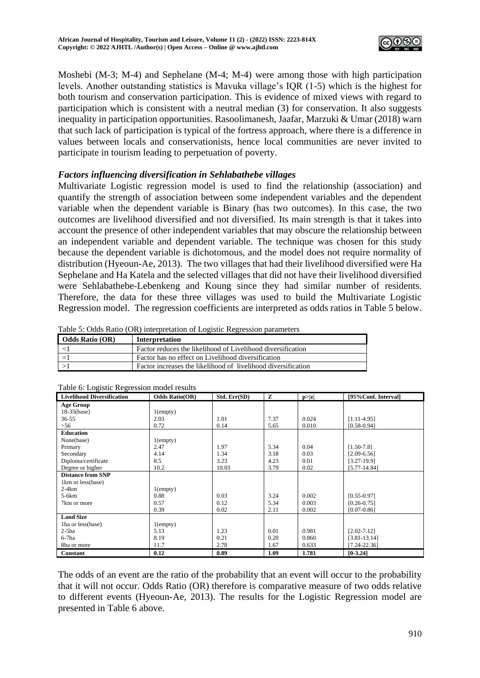

Moshebi (M-3; M-4) and Sephelane (M-4; M-4) were among those with high participation levels. Another outstanding statistics is Mavuka village's IQR (1-5) which is the highest for both tourism and conservation participation. This is evidence of mixed views with regard to participation which is consistent with a neutral median (3) for conservation. It also suggests inequality in participation opportunities. Rasoolimanesh, Jaafar, Marzuki & Umar (2018) warn that such lack of participation is typical of the fortress approach, where there is a difference in values between locals and conservationists, hence local communities are never invited to participate in tourism leading to perpetuation of poverty.

## *Factors influencing diversification in Sehlabathebe villages*

Multivariate Logistic regression model is used to find the relationship (association) and quantify the strength of association between some independent variables and the dependent variable when the dependent variable is Binary (has two outcomes). In this case, the two outcomes are livelihood diversified and not diversified. Its main strength is that it takes into account the presence of other independent variables that may obscure the relationship between an independent variable and dependent variable. The technique was chosen for this study because the dependent variable is dichotomous, and the model does not require normality of distribution (Hyeoun-Ae, 2013). The two villages that had their livelihood diversified were Ha Sephelane and Ha Katela and the selected villages that did not have their livelihood diversified were Sehlabathebe-Lebenkeng and Koung since they had similar number of residents. Therefore, the data for these three villages was used to build the Multivariate Logistic Regression model. The regression coefficients are interpreted as odds ratios in Table 5 below.

| Odds Ratio (OR) | Interpretation                                                |
|-----------------|---------------------------------------------------------------|
|                 | Factor reduces the likelihood of Livelihood diversification   |
| $=$             | Factor has no effect on Livelihood diversification            |
|                 | Factor increases the likelihood of livelihood diversification |

Table 5: Odds Ratio (OR) interpretation of Logistic Regression parameters

| Tuble of Boghoue Regression model results<br><b>Livelihood Diversification</b> | <b>Odds Ratio(OR)</b> | Std. Err(SD) | z    | p >  z | [95% Conf. Interval] |
|--------------------------------------------------------------------------------|-----------------------|--------------|------|--------|----------------------|
| <b>Age Group</b>                                                               |                       |              |      |        |                      |
| 18-35(base)                                                                    | $1$ (empty)           |              |      |        |                      |
| $36 - 55$                                                                      | 2.03                  | 1.01         | 7.37 | 0.024  | $[1.11-4.95]$        |
| $>56$                                                                          | 0.72                  | 0.14         | 5.65 | 0.010  | $[0.58 - 0.94]$      |
| <b>Education</b>                                                               |                       |              |      |        |                      |
| None(base)                                                                     | $1$ (empty)           |              |      |        |                      |
| Primary                                                                        | 2.47                  | 1.97         | 5.34 | 0.04   | $[1.50-7.8]$         |
| Secondary                                                                      | 4.14                  | 1.34         | 3.18 | 0.03   | $[2.09 - 6.56]$      |
| Diploma/certificate                                                            | 8.5                   | 3.23         | 4.23 | 0.01   | $[3.27-19.9]$        |
| Degree or higher                                                               | 10.2                  | 10.03        | 3.79 | 0.02   | $[5.77 - 14.84]$     |
| <b>Distance from SNP</b>                                                       |                       |              |      |        |                      |
| 1km or less(base)                                                              |                       |              |      |        |                      |
| $2-4km$                                                                        | $1$ (empty)           |              |      |        |                      |
| 5-6km                                                                          | 0.88                  | 0.03         | 3.24 | 0.002  | $[0.55 - 0.97]$      |
| 7km or more                                                                    | 0.57                  | 0.12         | 5.34 | 0.003  | $[0.26 - 0.75]$      |
|                                                                                | 0.39                  | 0.02         | 2.11 | 0.002  | $[0.07 - 0.86]$      |
| <b>Land Size</b>                                                               |                       |              |      |        |                      |
| Tha or less (base)                                                             | $1$ (empty)           |              |      |        |                      |
| $2-5ha$                                                                        | 5.13                  | 1.23         | 0.01 | 0.981  | $[2.02 - 7.12]$      |
| $6-7$ ha                                                                       | 8.19                  | 0.21         | 0.20 | 0.860  | $[3.81 - 13.14]$     |
| 8ha or more                                                                    | 11.7                  | 2.78         | 1.67 | 0.633  | $[7.24 - 22.36]$     |
| Constant                                                                       | 0.12                  | 0.89         | 1.09 | 1.781  | $[0-3.24]$           |

Table 6: Logistic Regression model results

The odds of an event are the ratio of the probability that an event will occur to the probability that it will not occur. Odds Ratio (OR) therefore is comparative measure of two odds relative to different events (Hyeoun-Ae, 2013). The results for the Logistic Regression model are presented in Table 6 above.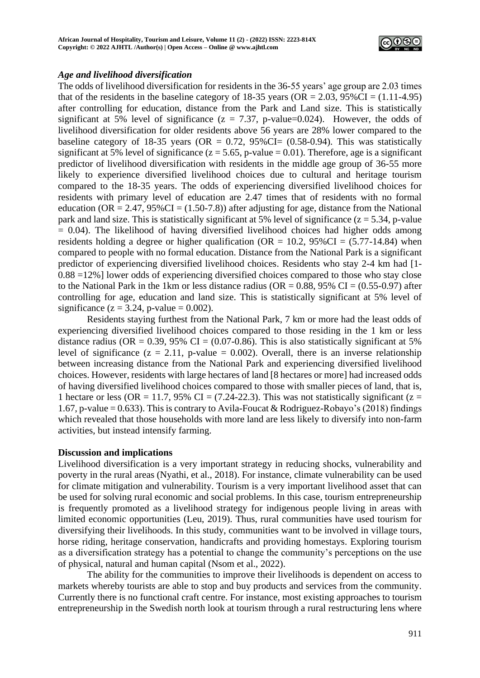

## *Age and livelihood diversification*

The odds of livelihood diversification for residents in the 36-55 years' age group are 2.03 times that of the residents in the baseline category of 18-35 years ( $OR = 2.03$ ,  $95\% CI = (1.11-4.95)$ ) after controlling for education, distance from the Park and Land size. This is statistically significant at 5% level of significance ( $z = 7.37$ , p-value=0.024). However, the odds of livelihood diversification for older residents above 56 years are 28% lower compared to the baseline category of 18-35 years (OR =  $0.72$ ,  $95\%$ CI=  $(0.58-0.94)$ ). This was statistically significant at 5% level of significance ( $z = 5.65$ , p-value = 0.01). Therefore, age is a significant predictor of livelihood diversification with residents in the middle age group of 36-55 more likely to experience diversified livelihood choices due to cultural and heritage tourism compared to the 18-35 years. The odds of experiencing diversified livelihood choices for residents with primary level of education are 2.47 times that of residents with no formal education ( $OR = 2.47$ ,  $95\%CI = (1.50-7.8)$ ) after adjusting for age, distance from the National park and land size. This is statistically significant at 5% level of significance ( $z = 5.34$ , p-value  $= 0.04$ ). The likelihood of having diversified livelihood choices had higher odds among residents holding a degree or higher qualification (OR =  $10.2$ , 95%CI =  $(5.77-14.84)$ ) when compared to people with no formal education. Distance from the National Park is a significant predictor of experiencing diversified livelihood choices. Residents who stay 2-4 km had [1- 0.88 =12%] lower odds of experiencing diversified choices compared to those who stay close to the National Park in the 1km or less distance radius ( $OR = 0.88$ , 95% CI = (0.55-0.97) after controlling for age, education and land size. This is statistically significant at 5% level of significance ( $z = 3.24$ , p-value = 0.002).

Residents staying furthest from the National Park, 7 km or more had the least odds of experiencing diversified livelihood choices compared to those residing in the 1 km or less distance radius (OR = 0.39, 95% CI =  $(0.07-0.86)$ ). This is also statistically significant at 5% level of significance ( $z = 2.11$ , p-value = 0.002). Overall, there is an inverse relationship between increasing distance from the National Park and experiencing diversified livelihood choices. However, residents with large hectares of land [8 hectares or more] had increased odds of having diversified livelihood choices compared to those with smaller pieces of land, that is, 1 hectare or less (OR = 11.7, 95% CI = (7.24-22.3). This was not statistically significant ( $z =$ 1.67, p-value = 0.633). This is contrary to Avila-Foucat & Rodriguez-Robayo's (2018) findings which revealed that those households with more land are less likely to diversify into non-farm activities, but instead intensify farming.

#### **Discussion and implications**

Livelihood diversification is a very important strategy in reducing shocks, vulnerability and poverty in the rural areas (Nyathi, et al., 2018). For instance, climate vulnerability can be used for climate mitigation and vulnerability. Tourism is a very important livelihood asset that can be used for solving rural economic and social problems. In this case, tourism entrepreneurship is frequently promoted as a livelihood strategy for indigenous people living in areas with limited economic opportunities (Leu, 2019). Thus, rural communities have used tourism for diversifying their livelihoods. In this study, communities want to be involved in village tours, horse riding, heritage conservation, handicrafts and providing homestays. Exploring tourism as a diversification strategy has a potential to change the community's perceptions on the use of physical, natural and human capital (Nsom et al., 2022).

The ability for the communities to improve their livelihoods is dependent on access to markets whereby tourists are able to stop and buy products and services from the community. Currently there is no functional craft centre. For instance, most existing approaches to tourism entrepreneurship in the Swedish north look at tourism through a rural restructuring lens where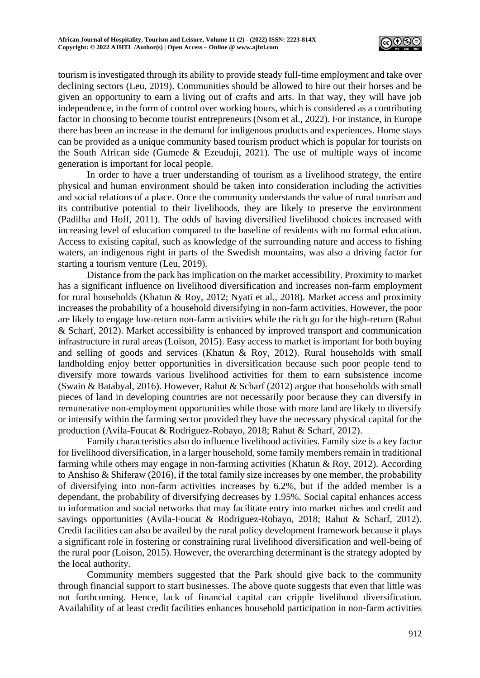

tourism is investigated through its ability to provide steady full-time employment and take over declining sectors (Leu, 2019). Communities should be allowed to hire out their horses and be given an opportunity to earn a living out of crafts and arts. In that way, they will have job independence, in the form of control over working hours, which is considered as a contributing factor in choosing to become tourist entrepreneurs (Nsom et al., 2022). For instance, in Europe there has been an increase in the demand for indigenous products and experiences. Home stays can be provided as a unique community based tourism product which is popular for tourists on the South African side (Gumede & Ezeuduji, 2021). The use of multiple ways of income generation is important for local people.

In order to have a truer understanding of tourism as a livelihood strategy, the entire physical and human environment should be taken into consideration including the activities and social relations of a place. Once the community understands the value of rural tourism and its contributive potential to their livelihoods, they are likely to preserve the environment (Padilha and Hoff, 2011). The odds of having diversified livelihood choices increased with increasing level of education compared to the baseline of residents with no formal education. Access to existing capital, such as knowledge of the surrounding nature and access to fishing waters, an indigenous right in parts of the Swedish mountains, was also a driving factor for starting a tourism venture (Leu, 2019).

Distance from the park has implication on the market accessibility. Proximity to market has a significant influence on livelihood diversification and increases non-farm employment for rural households (Khatun & Roy, 2012; Nyati et al., 2018). Market access and proximity increases the probability of a household diversifying in non-farm activities. However, the poor are likely to engage low-return non-farm activities while the rich go for the high-return (Rahut & Scharf, 2012). Market accessibility is enhanced by improved transport and communication infrastructure in rural areas (Loison, 2015). Easy access to market is important for both buying and selling of goods and services (Khatun & Roy, 2012). Rural households with small landholding enjoy better opportunities in diversification because such poor people tend to diversify more towards various livelihood activities for them to earn subsistence income (Swain & Batabyal, 2016). However, Rahut & Scharf (2012) argue that households with small pieces of land in developing countries are not necessarily poor because they can diversify in remunerative non-employment opportunities while those with more land are likely to diversify or intensify within the farming sector provided they have the necessary physical capital for the production (Avila-Foucat & Rodriguez-Robayo, 2018; Rahut & Scharf, 2012).

Family characteristics also do influence livelihood activities. Family size is a key factor for livelihood diversification, in a larger household, some family members remain in traditional farming while others may engage in non-farming activities (Khatun & Roy, 2012). According to Anshiso & Shiferaw (2016), if the total family size increases by one member, the probability of diversifying into non-farm activities increases by 6.2%, but if the added member is a dependant, the probability of diversifying decreases by 1.95%. Social capital enhances access to information and social networks that may facilitate entry into market niches and credit and savings opportunities (Avila-Foucat & Rodriguez-Robayo, 2018; Rahut & Scharf, 2012). Credit facilities can also be availed by the rural policy development framework because it plays a significant role in fostering or constraining rural livelihood diversification and well-being of the rural poor (Loison, 2015). However, the overarching determinant is the strategy adopted by the local authority.

Community members suggested that the Park should give back to the community through financial support to start businesses. The above quote suggests that even that little was not forthcoming. Hence, lack of financial capital can cripple livelihood diversification. Availability of at least credit facilities enhances household participation in non-farm activities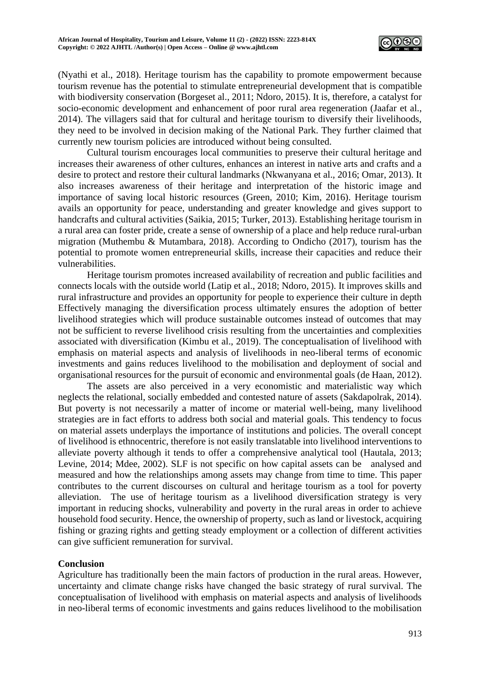

(Nyathi et al., 2018). Heritage tourism has the capability to promote empowerment because tourism revenue has the potential to stimulate entrepreneurial development that is compatible with biodiversity conservation (Borgeset al., 2011; Ndoro, 2015). It is, therefore, a catalyst for socio-economic development and enhancement of poor rural area regeneration (Jaafar et al., 2014). The villagers said that for cultural and heritage tourism to diversify their livelihoods, they need to be involved in decision making of the National Park. They further claimed that currently new tourism policies are introduced without being consulted.

Cultural tourism encourages local communities to preserve their cultural heritage and increases their awareness of other cultures, enhances an interest in native arts and crafts and a desire to protect and restore their cultural landmarks (Nkwanyana et al., 2016; Omar, 2013). It also increases awareness of their heritage and interpretation of the historic image and importance of saving local historic resources (Green, 2010; Kim, 2016). Heritage tourism avails an opportunity for peace, understanding and greater knowledge and gives support to handcrafts and cultural activities (Saikia, 2015; Turker, 2013). Establishing heritage tourism in a rural area can foster pride, create a sense of ownership of a place and help reduce rural-urban migration (Muthembu & Mutambara, 2018). According to Ondicho (2017), tourism has the potential to promote women entrepreneurial skills, increase their capacities and reduce their vulnerabilities.

Heritage tourism promotes increased availability of recreation and public facilities and connects locals with the outside world (Latip et al., 2018; Ndoro, 2015). It improves skills and rural infrastructure and provides an opportunity for people to experience their culture in depth Effectively managing the diversification process ultimately ensures the adoption of better livelihood strategies which will produce sustainable outcomes instead of outcomes that may not be sufficient to reverse livelihood crisis resulting from the uncertainties and complexities associated with diversification (Kimbu et al., 2019). The conceptualisation of livelihood with emphasis on material aspects and analysis of livelihoods in neo-liberal terms of economic investments and gains reduces livelihood to the mobilisation and deployment of social and organisational resources for the pursuit of economic and environmental goals (de Haan, 2012).

The assets are also perceived in a very economistic and materialistic way which neglects the relational, socially embedded and contested nature of assets (Sakdapolrak, 2014). But poverty is not necessarily a matter of income or material well-being, many livelihood strategies are in fact efforts to address both social and material goals. This tendency to focus on material assets underplays the importance of institutions and policies. The overall concept of livelihood is ethnocentric, therefore is not easily translatable into livelihood interventions to alleviate poverty although it tends to offer a comprehensive analytical tool (Hautala, 2013; Levine, 2014; Mdee, 2002). SLF is not specific on how capital assets can be analysed and measured and how the relationships among assets may change from time to time. This paper contributes to the current discourses on cultural and heritage tourism as a tool for poverty alleviation. The use of heritage tourism as a livelihood diversification strategy is very important in reducing shocks, vulnerability and poverty in the rural areas in order to achieve household food security. Hence, the ownership of property, such as land or livestock, acquiring fishing or grazing rights and getting steady employment or a collection of different activities can give sufficient remuneration for survival.

## **Conclusion**

Agriculture has traditionally been the main factors of production in the rural areas. However, uncertainty and climate change risks have changed the basic strategy of rural survival. The conceptualisation of livelihood with emphasis on material aspects and analysis of livelihoods in neo-liberal terms of economic investments and gains reduces livelihood to the mobilisation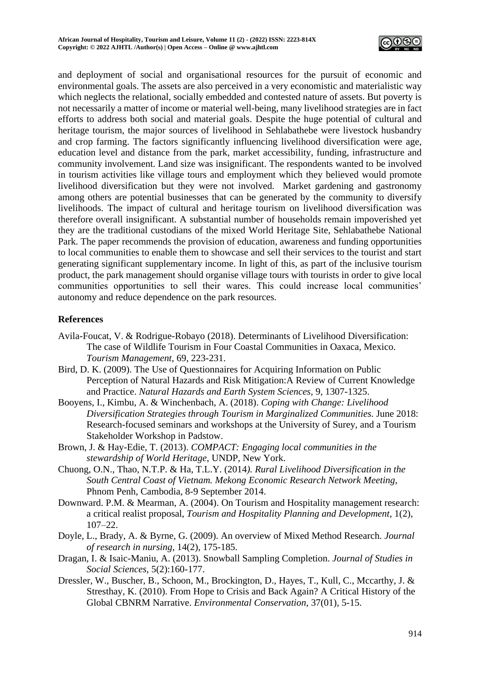

and deployment of social and organisational resources for the pursuit of economic and environmental goals. The assets are also perceived in a very economistic and materialistic way which neglects the relational, socially embedded and contested nature of assets. But poverty is not necessarily a matter of income or material well-being, many livelihood strategies are in fact efforts to address both social and material goals. Despite the huge potential of cultural and heritage tourism, the major sources of livelihood in Sehlabathebe were livestock husbandry and crop farming. The factors significantly influencing livelihood diversification were age, education level and distance from the park, market accessibility, funding, infrastructure and community involvement. Land size was insignificant. The respondents wanted to be involved in tourism activities like village tours and employment which they believed would promote livelihood diversification but they were not involved. Market gardening and gastronomy among others are potential businesses that can be generated by the community to diversify livelihoods. The impact of cultural and heritage tourism on livelihood diversification was therefore overall insignificant. A substantial number of households remain impoverished yet they are the traditional custodians of the mixed World Heritage Site, Sehlabathebe National Park. The paper recommends the provision of education, awareness and funding opportunities to local communities to enable them to showcase and sell their services to the tourist and start generating significant supplementary income. In light of this, as part of the inclusive tourism product, the park management should organise village tours with tourists in order to give local communities opportunities to sell their wares. This could increase local communities' autonomy and reduce dependence on the park resources.

# **References**

- Avila-Foucat, V. & Rodrigue-Robayo (2018). Determinants of Livelihood Diversification: The case of Wildlife Tourism in Four Coastal Communities in Oaxaca, Mexico. *Tourism Management*, 69, 223-231.
- Bird, D. K. (2009). The Use of Questionnaires for Acquiring Information on Public Perception of Natural Hazards and Risk Mitigation:A Review of Current Knowledge and Practice. *Natural Hazards and Earth System Sciences,* 9, 1307-1325.
- Booyens, I., Kimbu, A. & Winchenbach, A. (2018). *Coping with Change: Livelihood Diversification Strategies through Tourism in Marginalized Communities.* June 2018: Research-focused seminars and workshops at the University of Surey, and a Tourism Stakeholder Workshop in Padstow.
- Brown, J. & Hay-Edie, T. (2013). *COMPACT: Engaging local communities in the stewardship of World Heritage*, UNDP, New York.
- Chuong, O.N., Thao, N.T.P. & Ha, T.L.Y. (2014*). Rural Livelihood Diversification in the South Central Coast of Vietnam. Mekong Economic Research Network Meeting*, Phnom Penh, Cambodia, 8-9 September 2014.
- Downward. P.M. & Mearman, A. (2004). On Tourism and Hospitality management research: a critical realist proposal, *Tourism and Hospitality Planning and Development*, 1(2), 107–22.
- Doyle, L., Brady, A. & Byrne, G. (2009). An overview of Mixed Method Research. *Journal of research in nursing*, 14(2), 175-185.
- Dragan, I. & Isaic-Maniu, A. (2013). Snowball Sampling Completion. *Journal of Studies in Social Sciences*, 5(2):160-177.
- Dressler, W., Buscher, B., Schoon, M., Brockington, D., Hayes, T., Kull, C., Mccarthy, J. & Stresthay, K. (2010). From Hope to Crisis and Back Again? A Critical History of the Global CBNRM Narrative. *Environmental Conservation*, 37(01), 5-15.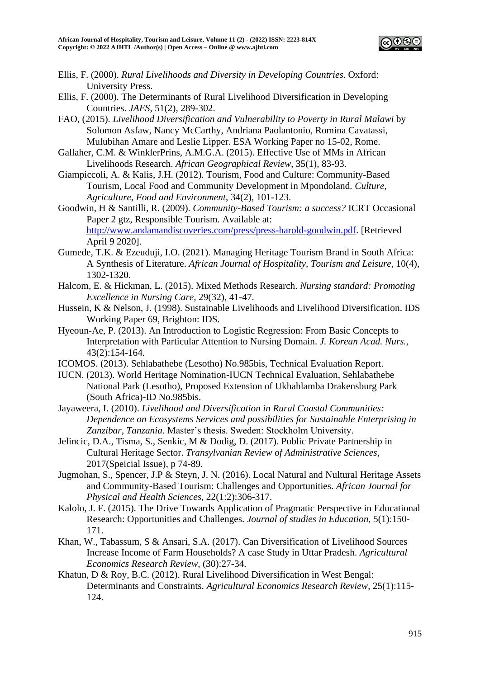

- Ellis, F. (2000). *Rural Livelihoods and Diversity in Developing Countries*. Oxford: University Press.
- Ellis, F. (2000). The Determinants of Rural Livelihood Diversification in Developing Countries. *JAES,* 51(2), 289-302.
- FAO, (2015). *Livelihood Diversification and Vulnerability to Poverty in Rural Malawi* by Solomon Asfaw, Nancy McCarthy, Andriana Paolantonio, Romina Cavatassi, Mulubihan Amare and Leslie Lipper. ESA Working Paper no 15-02, Rome.
- Gallaher, C.M. & WinklerPrins, A.M.G.A. (2015). Effective Use of MMs in African Livelihoods Research. *African Geographical Review*, 35(1), 83-93.
- Giampiccoli, A. & Kalis, J.H. (2012). Tourism, Food and Culture: Community-Based Tourism, Local Food and Community Development in Mpondoland. *Culture, Agriculture, Food and Environment*, 34(2), 101-123.
- Goodwin, H & Santilli, R. (2009). *Community-Based Tourism: a success?* ICRT Occasional Paper 2 gtz, Responsible Tourism. Available at: [http://www.andamandiscoveries.com/press/press-harold-goodwin.pdf.](http://www.andamandiscoveries.com/press/press-harold-goodwin.pdf) [Retrieved April 9 2020].
- Gumede, T.K. & Ezeuduji, I.O. (2021). Managing Heritage Tourism Brand in South Africa: A Synthesis of Literature. *African Journal of Hospitality, Tourism and Leisure*, 10(4), 1302-1320.
- Halcom, E. & Hickman, L. (2015). Mixed Methods Research. *Nursing standard: Promoting Excellence in Nursing Care*, 29(32), 41-47.
- Hussein, K & Nelson, J. (1998). Sustainable Livelihoods and Livelihood Diversification. IDS Working Paper 69, Brighton: IDS.
- Hyeoun-Ae, P. (2013). An Introduction to Logistic Regression: From Basic Concepts to Interpretation with Particular Attention to Nursing Domain. *J. Korean Acad. Nurs.,* 43(2):154-164.
- ICOMOS. (2013). Sehlabathebe (Lesotho) No.985bis, Technical Evaluation Report.
- IUCN. (2013). World Heritage Nomination-IUCN Technical Evaluation, Sehlabathebe National Park (Lesotho), Proposed Extension of Ukhahlamba Drakensburg Park (South Africa)-ID No.985bis.
- Jayaweera, I. (2010). *Livelihood and Diversification in Rural Coastal Communities: Dependence on Ecosystems Services and possibilities for Sustainable Enterprising in Zanzibar, Tanzania.* Master's thesis. Sweden: Stockholm University.
- Jelincic, D.A., Tisma, S., Senkic, M & Dodig, D. (2017). Public Private Partnership in Cultural Heritage Sector. *Transylvanian Review of Administrative Sciences*, 2017(Speicial Issue), p 74-89.
- Jugmohan, S., Spencer, J.P & Steyn, J. N. (2016). Local Natural and Nultural Heritage Assets and Community-Based Tourism: Challenges and Opportunities. *African Journal for Physical and Health Sciences*, 22(1:2):306-317.
- Kalolo, J. F. (2015). The Drive Towards Application of Pragmatic Perspective in Educational Research: Opportunities and Challenges. *Journal of studies in Education,* 5(1):150- 171.
- Khan, W., Tabassum, S & Ansari, S.A. (2017). Can Diversification of Livelihood Sources Increase Income of Farm Households? A case Study in Uttar Pradesh. *Agricultural Economics Research Review*, (30):27-34.
- Khatun, D & Roy, B.C. (2012). Rural Livelihood Diversification in West Bengal: Determinants and Constraints. *Agricultural Economics Research Review*, 25(1):115- 124.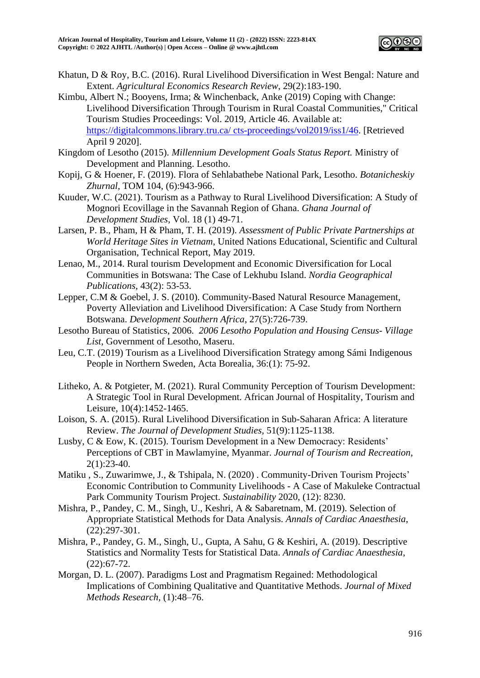

- Khatun, D & Roy, B.C. (2016). Rural Livelihood Diversification in West Bengal: Nature and Extent. *Agricultural Economics Research Review*, 29(2):183-190.
- Kimbu, Albert N.; Booyens, Irma; & Winchenback, Anke (2019) Coping with Change: Livelihood Diversification Through Tourism in Rural Coastal Communities," Critical Tourism Studies Proceedings: Vol. 2019, Article 46. Available at: [https://digitalcommons.library.tru.ca/ cts-proceedings/vol2019/iss1/46.](https://digitalcommons.library.tru.ca/%20cts-proceedings/vol2019/iss1/46) [Retrieved April 9 2020].
- Kingdom of Lesotho (2015). *Millennium Development Goals Status Report.* Ministry of Development and Planning. Lesotho.
- Kopij, G & Hoener, F. (2019). Flora of Sehlabathebe National Park, Lesotho. *Botanicheskiy Zhurnal*, TOM 104, (6):943-966.
- Kuuder, W.C. (2021). Tourism as a Pathway to Rural Livelihood Diversification: A Study of Mognori Ecovillage in the Savannah Region of Ghana. *Ghana Journal of Development Studies*, Vol. 18 (1) 49-71.
- Larsen, P. B., Pham, H & Pham, T. H. (2019). *Assessment of Public Private Partnerships at World Heritage Sites in Vietnam*, United Nations Educational, Scientific and Cultural Organisation, Technical Report, May 2019.
- Lenao, M., 2014. Rural tourism Development and Economic Diversification for Local Communities in Botswana: The Case of Lekhubu Island. *Nordia Geographical Publications*, 43(2): 53-53.
- Lepper, C.M & Goebel, J. S. (2010). Community-Based Natural Resource Management, Poverty Alleviation and Livelihood Diversification: A Case Study from Northern Botswana. *Development Southern Africa*, 27(5):726-739.
- Lesotho Bureau of Statistics, 2006. *2006 Lesotho Population and Housing Census- Village List*, Government of Lesotho, Maseru.
- Leu, C.T. (2019) Tourism as a Livelihood Diversification Strategy among Sámi Indigenous People in Northern Sweden, Acta Borealia, 36:(1): 75-92.
- Litheko, A. & Potgieter, M. (2021). Rural Community Perception of Tourism Development: A Strategic Tool in Rural Development. African Journal of Hospitality, Tourism and Leisure, 10(4):1452-1465.
- Loison, S. A. (2015). Rural Livelihood Diversification in Sub-Saharan Africa: A literature Review. *The Journal of Development Studies,* 51(9):1125-1138.
- Lusby, C & Eow, K. (2015). Tourism Development in a New Democracy: Residents' Perceptions of CBT in Mawlamyine, Myanmar. *Journal of Tourism and Recreation*,  $2(1):23-40.$
- Matiku , S., Zuwarimwe, J., & Tshipala, N. (2020) . Community-Driven Tourism Projects' Economic Contribution to Community Livelihoods - A Case of Makuleke Contractual Park Community Tourism Project. *Sustainability* 2020, (12): 8230.
- Mishra, P., Pandey, C. M., Singh, U., Keshri, A & Sabaretnam, M. (2019). Selection of Appropriate Statistical Methods for Data Analysis. *Annals of Cardiac Anaesthesia*, (22):297-301.
- Mishra, P., Pandey, G. M., Singh, U., Gupta, A Sahu, G & Keshiri, A. (2019). Descriptive Statistics and Normality Tests for Statistical Data. *Annals of Cardiac Anaesthesia*, (22):67-72.
- Morgan, D. L. (2007). Paradigms Lost and Pragmatism Regained: Methodological Implications of Combining Qualitative and Quantitative Methods. *Journal of Mixed Methods Research,* (1):48–76.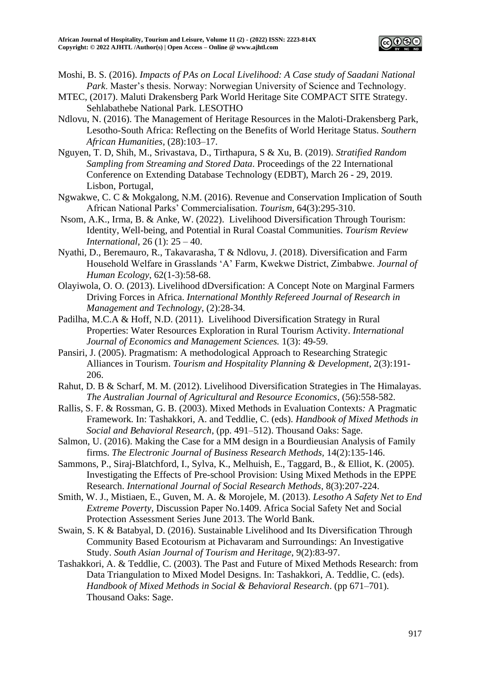

- Moshi, B. S. (2016). *Impacts of PAs on Local Livelihood: A Case study of Saadani National Park*. Master's thesis. Norway: Norwegian University of Science and Technology.
- MTEC, (2017). Maluti Drakensberg Park World Heritage Site COMPACT SITE Strategy. Sehlabathebe National Park. LESOTHO
- Ndlovu, N. (2016). The Management of Heritage Resources in the Maloti-Drakensberg Park, Lesotho-South Africa: Reflecting on the Benefits of World Heritage Status. *Southern African Humanities,* (28):103–17.
- Nguyen, T. D, Shih, M., Srivastava, D., Tirthapura, S & Xu, B. (2019). *Stratified Random Sampling from Streaming and Stored Data*. Proceedings of the 22 International Conference on Extending Database Technology (EDBT), March 26 - 29, 2019. Lisbon, Portugal,
- Ngwakwe, C. C & Mokgalong, N.M. (2016). Revenue and Conservation Implication of South African National Parks' Commercialisation. *Tourism,* 64(3):295-310.
- Nsom, A.K., Irma, B. & Anke, W. (2022). Livelihood Diversification Through Tourism: Identity, Well-being, and Potential in Rural Coastal Communities. *Tourism Review International*, 26 (1): 25 – 40.
- Nyathi, D., Beremauro, R., Takavarasha, T & Ndlovu, J. (2018). Diversification and Farm Household Welfare in Grasslands 'A' Farm, Kwekwe District, Zimbabwe. *Journal of Human Ecology*, 62(1-3):58-68.
- Olayiwola, O. O. (2013). Livelihood dDversification: A Concept Note on Marginal Farmers Driving Forces in Africa. *International Monthly Refereed Journal of Research in Management and Technology,* (2):28-34*.*
- Padilha, M.C.A & Hoff, N.D. (2011). Livelihood Diversification Strategy in Rural Properties: Water Resources Exploration in Rural Tourism Activity. *International Journal of Economics and Management Sciences.* 1(3): 49-59.
- Pansiri, J. (2005). Pragmatism: A methodological Approach to Researching Strategic Alliances in Tourism. *Tourism and Hospitality Planning & Development*, 2(3):191- 206.
- Rahut, D. B & Scharf, M. M. (2012). Livelihood Diversification Strategies in The Himalayas. *The Australian Journal of Agricultural and Resource Economics*, (56):558-582.
- Rallis, S. F. & Rossman, G. B. (2003). Mixed Methods in Evaluation Contexts*:* A Pragmatic Framework*.* In: Tashakkori, A. and Teddlie, C. (eds). *Handbook of Mixed Methods in Social and Behavioral Research*, (pp. 491–512). Thousand Oaks: Sage.
- Salmon, U. (2016). Making the Case for a MM design in a Bourdieusian Analysis of Family firms. *The Electronic Journal of Business Research Methods,* 14(2):135-146.
- Sammons, P., Siraj-Blatchford, I., Sylva, K., Melhuish, E., Taggard, B., & Elliot, K. (2005). Investigating the Effects of Pre-school Provision: Using Mixed Methods in the EPPE Research. *International Journal of Social Research Methods*, 8(3):207-224.
- Smith, W. J., Mistiaen, E., Guven, M. A. & Morojele, M. (2013). *Lesotho A Safety Net to End Extreme Poverty,* Discussion Paper No.1409. Africa Social Safety Net and Social Protection Assessment Series June 2013. The World Bank.
- Swain, S. K & Batabyal, D. (2016). Sustainable Livelihood and Its Diversification Through Community Based Ecotourism at Pichavaram and Surroundings: An Investigative Study. *South Asian Journal of Tourism and Heritage*, 9(2):83-97.
- Tashakkori, A. & Teddlie, C. (2003). The Past and Future of Mixed Methods Research: from Data Triangulation to Mixed Model Designs. In: Tashakkori, A. Teddlie, C. (eds). *Handbook of Mixed Methods in Social & Behavioral Research*. (pp 671–701). Thousand Oaks: Sage.